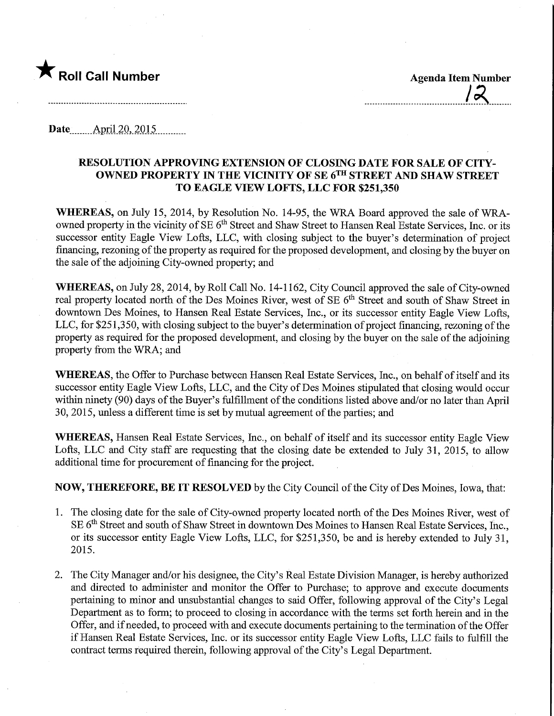

Date ........Apnl 20,.2Q15.

## RESOLUTION APPROVING EXTENSION OF CLOSING DATE FOR SALE OF CITY-OWNED PROPERTY JN THE VICINITY OF SE 6™ STREET AND SHAW STREET TO EAGLE VIEW LOFTS, LLC FOR \$251,350

WHEREAS, on July 15, 2014, by Resolution No. 14-95, the WRA Board approved the sale of WRAowned property in the vicinity of SE 6<sup>th</sup> Street and Shaw Street to Hansen Real Estate Services, Inc. or its successor entity Eagle View Lofts, LLC, with closing subject to the buyer's determination of project financing, rezoning of the property as required for the proposed development, and closing by the buyer on the sale of the adjoining City-owned property; and

WHEREAS, on July 28, 2014, by Roll Call No. 14-1162, City Council approved the sale of City-owned real property located north of the Des Moines River, west of SE 6<sup>th</sup> Street and south of Shaw Street in downtown Des Moines, to Hansen Real Estate Services, Inc., or its successor entity Eagle View Lofts, LLC, for \$251,350, with closing subject to the buyer's determination of project financing, rezoning of the property as required for the proposed development, and closing by the buyer on the sale of the adjoining property from the WRA; and

WHEREAS, the Offer to Purchase between Hansen Real Estate Services, Inc., on behalf of itself and its successor entity Eagle View Lofts, LLC, and the City of Des Moines stipulated that closing would occur within ninety (90) days of the Buyer's fulfillment of the conditions listed above and/or no later than April 30, 2015, unless a different time is set by mutual agreement of the parties; and

WHEREAS, Hansen Real Estate Services, Inc., on behalf of itself and its successor entity Eagle View Lofts, LLC and City staff are requesting that the closing date be extended to July 31, 2015, to allow additional time for procurement of financing for the project.

NOW, THEREFORE, BE IT RESOLVED by the City Council of the City of Des Moines, Iowa, that:

- 1. The closing date for the sale of City-owned property located north of the Des Moines River, west of SE 6<sup>th</sup> Street and south of Shaw Street in downtown Des Moines to Hansen Real Estate Services, Inc., or its successor entity Eagle View Lofts, LLC, for \$251,350, be and is hereby extended to July 31, 2015.
- 2. The City Manager and/or his designee, the City's Real Estate Division Manager, is hereby authorized and directed to administer and monitor the Offer to Purchase; to approve and execute documents pertaining to minor and unsubstantial changes to said Offer, following approval of the City's Legal Department as to form; to proceed to closing in accordance with the terms set forth herein and in the Offer, and if needed, to proceed with and execute documents pertaining to the termination of the Offer if Hansen Real Estate Services, Inc. or its successor entity Eagle View Lofts, LLC fails to fulfill the contract terms required therein, following approval of the City's Legal Department.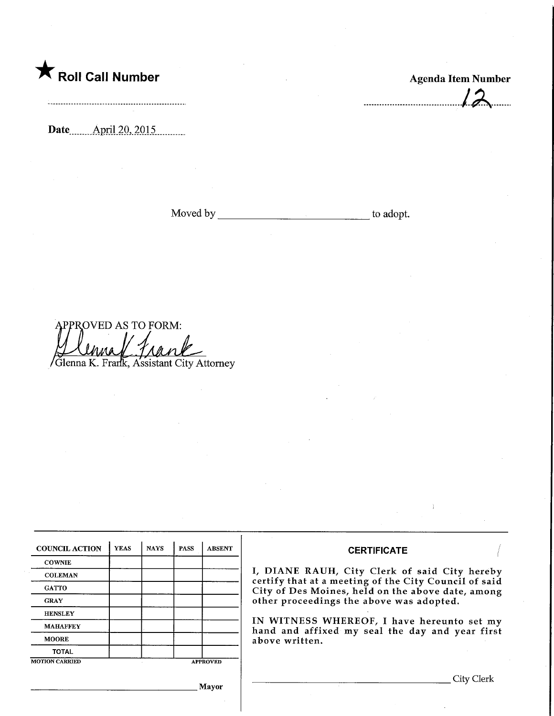## and Roll Call Number Agenda Item Number

 $12$ 

Date.....\_Apri.l.2Q,.2pl5.

Moved by to adopt.

PPROVED AS TO FORM: / frank Glenna K. Frarik, Assistant City Attorney

| <b>COUNCIL ACTION</b> | <b>YEAS</b> | <b>NAYS</b> | <b>PASS</b>     | <b>ABSENT</b> |  |
|-----------------------|-------------|-------------|-----------------|---------------|--|
| <b>COWNIE</b>         |             |             |                 |               |  |
| <b>COLEMAN</b>        |             |             |                 |               |  |
| <b>GATTO</b>          |             |             |                 |               |  |
| <b>GRAY</b>           |             |             |                 |               |  |
| <b>HENSLEY</b>        |             |             |                 |               |  |
| <b>MAHAFFEY</b>       |             |             |                 |               |  |
| <b>MOORE</b>          |             |             |                 |               |  |
| <b>TOTAL</b>          |             |             |                 |               |  |
| <b>MOTION CARRIED</b> |             |             | <b>APPROVED</b> |               |  |

## **CERTIFICATE**

I, DIANE RAUH/ City Clerk of said City hereby certify that at a meeting of the City Council of said ity of Des Moines, held on the above date, among ther proceedings the above was adopted.

IN WITNESS WHEREOF, I have hereunto set my and and affixed my seal the day and year first bove written.

. City Clerk

Mayor